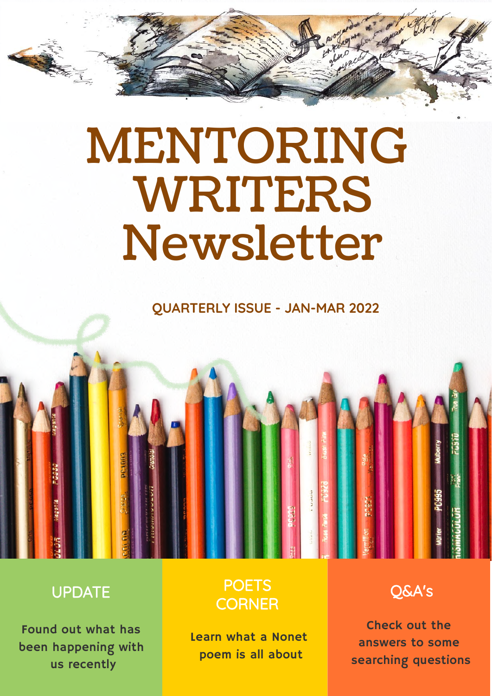# MENTORING WRITERS Newsletter

#### **QUARTERLY ISSUE - JAN-MAR 2022**



#### UPDATE

 $\sum_{i=1}^{n}$ 

Found out what has been happening with us recently

#### **POETS CORNER**

Learn what a Nonet poem is all about

Q&A's

Check out the answers to some searching questions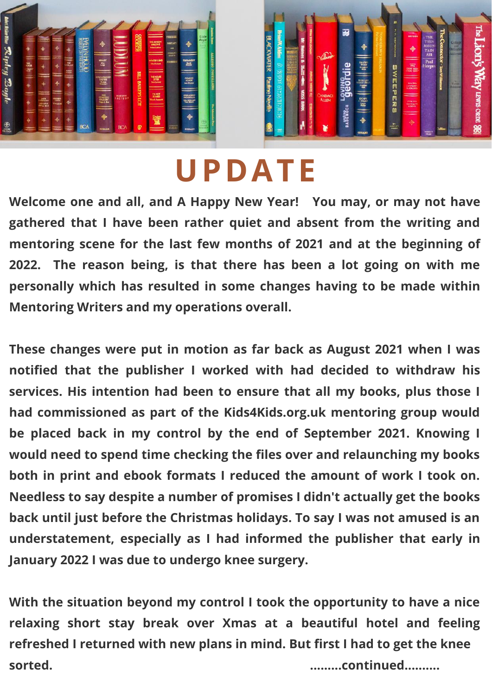



## **UPDATE**

**Welcome one and all, and A Happy New Year! You may, or may not have gathered that I have been rather quiet and absent from the writing and mentoring scene for the last few months of 2021 and at the beginning of 2022. The reason being, is that there has been a lot going on with me personally which has resulted in some changes having to be made within Mentoring Writers and my operations overall.**

**These changes were put in motion as far back as August 2021 when I was notified that the publisher I worked with had decided to withdraw his services. His intention had been to ensure that all my books, plus those I had commissioned as part of the Kids4Kids.org.uk mentoring group would be placed back in my control by the end of September 2021. Knowing I would need to spend time checking the files over and relaunching my books both in print and ebook formats I reduced the amount of work I took on. Needless to say despite a number of promises I didn't actually get the books back until just before the Christmas holidays. To say I was not amused is an understatement, especially as I had informed the publisher that early in January 2022 I was due to undergo knee surgery.**

**With the situation beyond my control I took the opportunity to have a nice relaxing short stay break over Xmas at a beautiful hotel and feeling refreshed I returned with new plans in mind. But first I had to get the knee sorted. .........continued..........**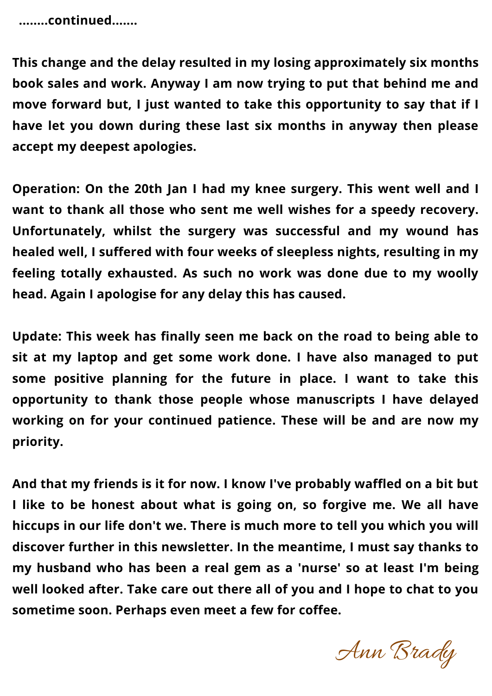**........continued.......**

**This change and the delay resulted in my losing approximately six months book sales and work. Anyway I am now trying to put that behind me and move forward but, I just wanted to take this opportunity to say that if I have let you down during these last six months in anyway then please accept my deepest apologies.**

**Operation: On the 20th Jan I had my knee surgery. This went well and I want to thank all those who sent me well wishes for a speedy recovery. Unfortunately, whilst the surgery was successful and my wound has healed well, I suffered with four weeks of sleepless nights, resulting in my feeling totally exhausted. As such no work was done due to my woolly head. Again I apologise for any delay this has caused.**

**Update: This week has finally seen me back on the road to being able to sit at my laptop and get some work done. I have also managed to put some positive planning for the future in place. I want to take this opportunity to thank those people whose manuscripts I have delayed working on for your continued patience. These will be and are now my priority.**

**And that my friends is it for now. I know I've probably waffled on a bit but I like to be honest about what is going on, so forgive me. We all have hiccups in our life don't we. There is much more to tell you which you will discover further in this newsletter. In the meantime, I must say thanks to my husband who has been a real gem as a 'nurse' so at least I'm being well looked after. Take care out there all of you and I hope to chat to you sometime soon. Perhaps even meet a few for coffee.**

Ann Brady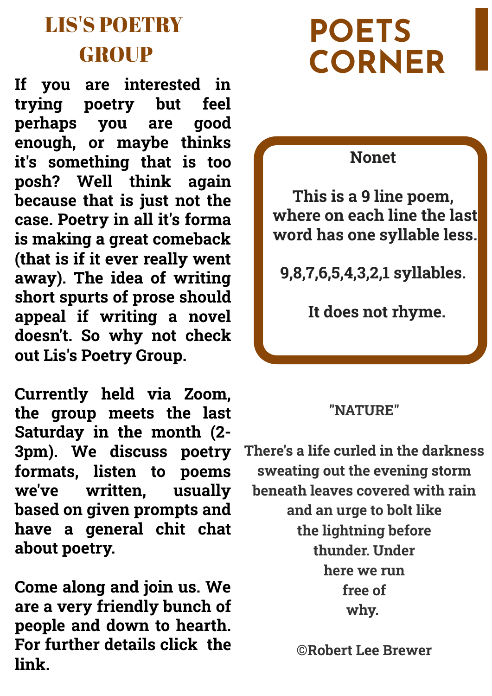### LIS'S POETRY **GROUP**

**If you are interested in trying poetry but feel perhaps you are good enough, or maybe thinks it's something that is too posh? Well think again because that is just not the case. Poetry in all it's forma is making a great comeback (that is if it ever really went away). The idea of writing short spurts of prose should appeal if writing a novel doesn't. So why not check out Lis's Poetry Group.**

**Currently held via Zoom, the group meets the last Saturday in the month (2- 3pm). We discuss poetry formats, listen to poems we've written, usually based on given prompts and have a general chit chat about poetry.**

**Come along and join us. We are a very friendly bunch of people and down to hearth. For further details click the link.**

## **POETS CORNER**

#### **Nonet**

**This is a 9 line poem, where on each line the last word has one syllable less.**

**9,8,7,6,5,4,3,2,1 syllables.** 

 **It does not rhyme.**

#### **"NATURE"**

**There's a life curled in the darkness sweating out the evening storm beneath leaves covered with rain and an urge to bolt like the lightning before thunder. Under here we run free of why.** 

**©Robert Lee Brewer**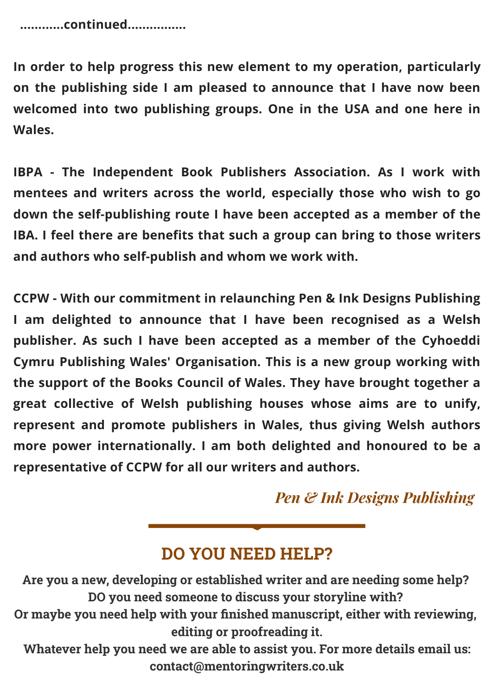**............continued................**

**In order to help progress this new element to my operation, particularly on the publishing side I am pleased to announce that I have now been welcomed into two publishing groups. One in the USA and one here in Wales.**

**IBPA - The Independent Book Publishers Association. As I work with mentees and writers across the world, especially those who wish to go down the self-publishing route I have been accepted as a member of the IBA. I feel there are benefits that such a group can bring to those writers and authors who self-publish and whom we work with.**

**CCPW - With our commitment in relaunching Pen & Ink Designs Publishing I am delighted to announce that I have been recognised as a Welsh publisher. As such I have been accepted as a member of the Cyhoeddi Cymru Publishing Wales' Organisation. This is a new group working with the support of the Books Council of Wales. They have brought together a great collective of Welsh publishing houses whose aims are to unify, represent and promote publishers in Wales, thus giving Welsh authors more power internationally. I am both delighted and honoured to be a representative of CCPW for all our writers and authors.**

*Pen & Ink Designs Publishing*

#### **DO YOU NEED HELP?**

**Are you a new, developing or established writer and are needing some help? DO you need someone to discuss your storyline with? Or maybe you need help with your finished manuscript, either with reviewing, editing or proofreading it. Whatever help you need we are able to assist you. For more details email us: contact@mentoringwriters.co.uk**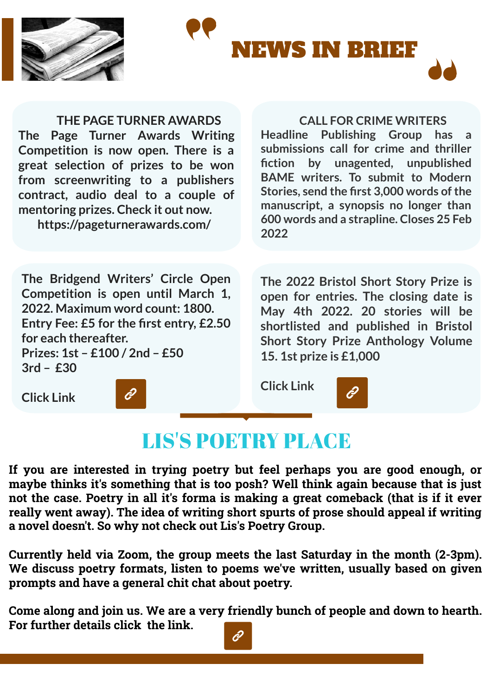

**Click Link**



#### **THE PAGE TURNER AWARDS The Page Turner Awards Writing Competition is now open. There is a great selection of prizes to be won from screenwriting to a publishers contract, audio deal to a couple of mentoring prizes. Check it out now.**

**https://pageturnerawards.com/**

#### **CALL FOR CRIME WRITERS**

**Headline Publishing Group has a submissions call for crime and thriller fiction by unagented, unpublished BAME writers. To submit to Modern Stories, send the first 3,000 words of the manuscript, a synopsis no longer than 600 words and a strapline. Closes 25 Feb 2022**

**The Bridgend Writers' Circle Open Competition is open until March 1, 2022. Maximum word count: 1800. Entry Fee: £5 for the first entry, £2.50 for each thereafter. Prizes: 1st – £100 / 2nd – £50 3rd – £30**

**The 2022 Bristol Short Story Prize is open for entries. The closing date is May 4th 2022. 20 stories will be shortlisted and published in Bristol Short Story Prize Anthology Volume 15. 1st prize is £1,000**

**Click Link**

#### LIS'S POETRY PLACE

**If you are interested in trying poetry but feel perhaps you are good enough, or maybe thinks it's something that is too posh? Well think again because that is just not the case. Poetry in all it's forma is making a great comeback (that is if it ever really went away). The idea of writing short spurts of prose should appeal if writing a novel doesn't. So why not check out Lis's Poetry Group.**

**Currently held via Zoom, the group meets the last Saturday in the month (2-3pm). We discuss poetry formats, listen to poems we've written, usually based on given prompts and have a general chit chat about poetry.**

**Come along and join us. We are a very friendly bunch of people and down to hearth. For further details click the link.**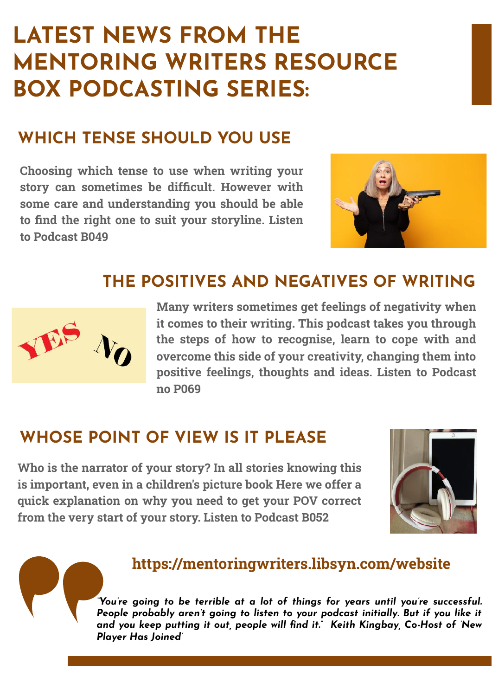## **LATEST NEWS FROM THE MENTORING WRITERS RESOURCE BOX PODCASTING SERIES:**

#### **WHICH TENSE SHOULD YOU USE**

**Choosing which tense to use when writing your story can sometimes be difficult. However with some care and understanding you should be able to find the right one to suit your storyline. Listen to Podcast B049**



#### **THE POSITIVES AND NEGATIVES OF WRITING**



**Many writers sometimes get feelings of negativity when it comes to their writing. This podcast takes you through the steps of how to recognise, learn to cope with and overcome this side of your creativity, changing them into positive feelings, thoughts and ideas. Listen to Podcast no P069**

#### **WHOSE POINT OF VIEW IS IT PLEASE**

**Who is the narrator of your story? In all stories knowing this is important, even in a children's picture book Here we offer a quick explanation on why you need to get your POV correct from the very start of your story. Listen to Podcast B052**



#### **https://mentoringwriters.libsyn.com/website**

*"You're going to be terrible at a lot of things for years until you're successful. People probably aren't going to listen to your podcast initially. But if you like it and you keep putting it out, people will find it." Keith Kingbay, Co-Host of 'New Player Has Joined'*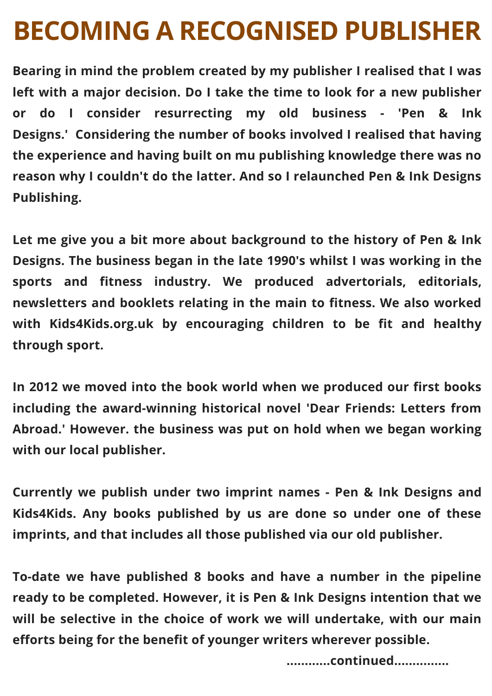## **BECOMING A RECOGNISED PUBLISHER**

**Bearing in mind the problem created by my publisher I realised that I was left with a major decision. Do I take the time to look for a new publisher or do I consider resurrecting my old business - 'Pen & Ink Designs.' Considering the number of books involved I realised that having the experience and having built on mu publishing knowledge there was no reason why I couldn't do the latter. And so I relaunched Pen & Ink Designs Publishing.**

**Let me give you a bit more about background to the history of Pen & Ink Designs. The business began in the late 1990's whilst I was working in the sports and fitness industry. We produced advertorials, editorials, newsletters and booklets relating in the main to fitness. We also worked with Kids4Kids.org.uk by encouraging children to be fit and healthy through sport.**

**In 2012 we moved into the book world when we produced our first books including the award-winning historical novel 'Dear Friends: Letters from Abroad.' However. the business was put on hold when we began working with our local publisher.**

**Currently we publish under two imprint names - Pen & Ink Designs and Kids4Kids. Any books published by us are done so under one of these imprints, and that includes all those published via our old publisher.**

**To-date we have published 8 books and have a number in the pipeline ready to be completed. However, it is Pen & Ink Designs intention that we will be selective in the choice of work we will undertake, with our main efforts being for the benefit of younger writers wherever possible.**

**............continued...............**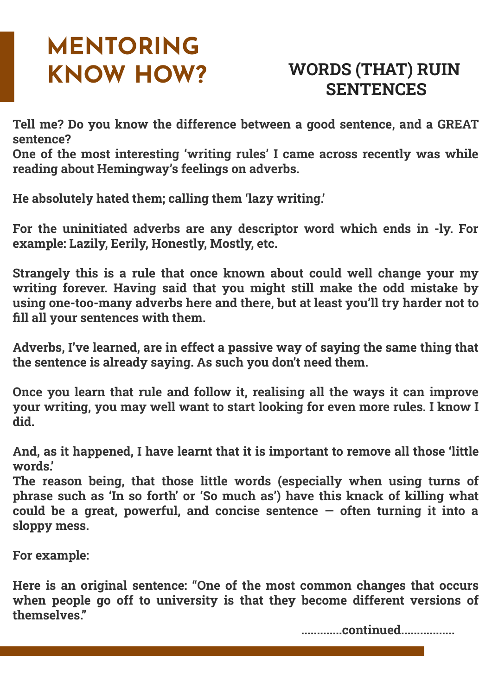# **MENTORING**

#### **KNOW HOW? WORDS (THAT) RUIN SENTENCES**

**Tell me? Do you know the difference between a good sentence, and a GREAT sentence?**

**One of the most interesting 'writing rules' I came across recently was while reading about Hemingway's feelings on adverbs.**

**He absolutely hated them; calling them 'lazy writing.'**

**For the uninitiated adverbs are any descriptor word which ends in -ly. For example: Lazily, Eerily, Honestly, Mostly, etc.**

**Strangely this is a rule that once known about could well change your my writing forever. Having said that you might still make the odd mistake by using one-too-many adverbs here and there, but at least you'll try harder not to fill all your sentences with them.**

**Adverbs, I've learned, are in effect a passive way of saying the same thing that the sentence is already saying. As such you don't need them.**

**Once you learn that rule and follow it, realising all the ways it can improve your writing, you may well want to start looking for even more rules. I know I did.**

**And, as it happened, I have learnt that it is important to remove all those 'little words.'**

**The reason being, that those little words (especially when using turns of phrase such as 'In so forth' or 'So much as') have this knack of killing what could be a great, powerful, and concise sentence — often turning it into a sloppy mess.**

**For example:**

**Here is an original sentence: "One of the most common changes that occurs when people go off to university is that they become different versions of themselves."**

 **.............continued.................**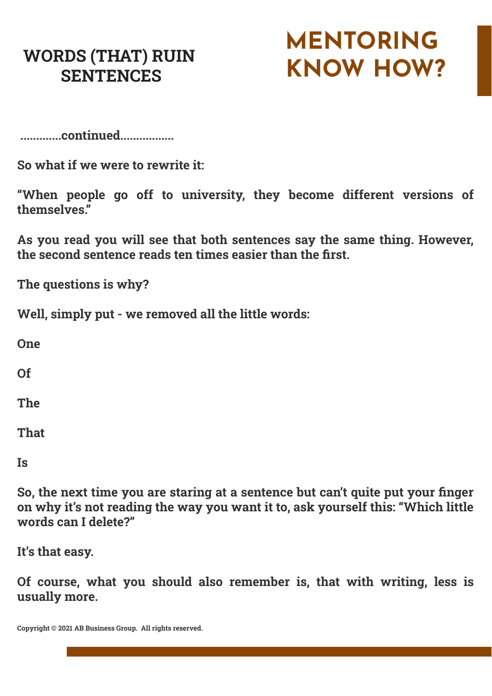#### **WORDS (THAT) RUIN SENTENCES**

## **MENTORING KNOW HOW?**

 **.............continued.................**

**So what if we were to rewrite it:** 

**"When people go off to university, they become different versions of themselves."**

**As you read you will see that both sentences say the same thing. However, the second sentence reads ten times easier than the first.**

**The questions is why?**

**Well, simply put - we removed all the little words:**

**One**

**Of**

**The**

**That**

**Is**

**So, the next time you are staring at a sentence but can't quite put your finger on why it's not reading the way you want it to, ask yourself this: "Which little words can I delete?"**

**It's that easy.**

**Of course, what you should also remember is, that with writing, less is usually more.**

**Copyright © 2021 AB Business Group. All rights reserved.**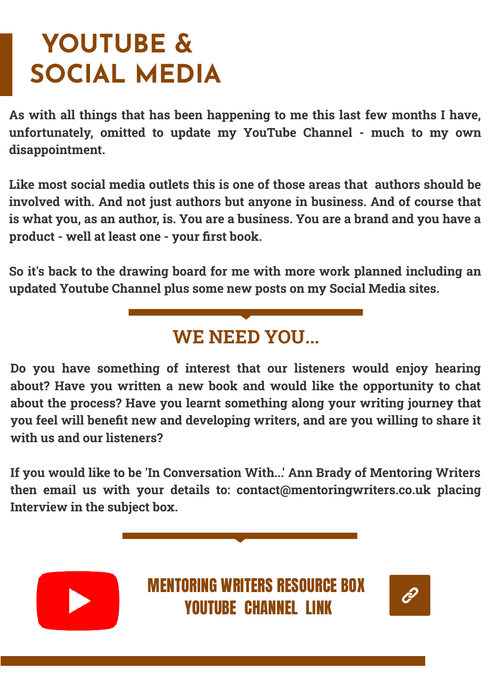## **YOUTUBE & SOCIAL MEDIA**

**As with all things that has been happening to me this last few months I have, unfortunately, omitted to update my YouTube Channel - much to my own disappointment.** 

**Like most social media outlets this is one of those areas that authors should be involved with. And not just authors but anyone in business. And of course that is what you, as an author, is. You are a business. You are a brand and you have a product - well at least one - your first book.** 

**So it's back to the drawing board for me with more work planned including an updated Youtube Channel plus some new posts on my Social Media sites.**

#### **WE NEED YOU...**

**Do you have something of interest that our listeners would enjoy hearing about? Have you written a new book and would like the opportunity to chat about the process? Have you learnt something along your writing journey that you feel will benefit new and developing writers, and are you willing to share it with us and our listeners?**

**If you would like to be 'In Conversation With...' Ann Brady of Mentoring Writers then email us with your details to: contact@mentoringwriters.co.uk placing Interview in the subject box.**



MENTORING WRITERS RESOURCE BOX YOUTUBE CHANNEL LINK

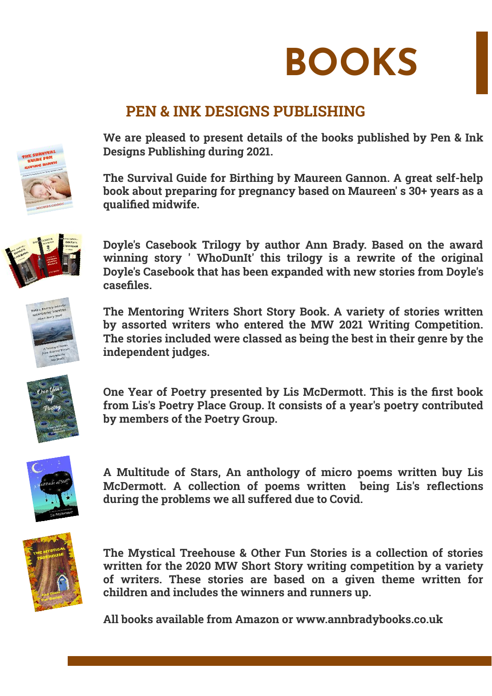

#### **PEN & INK DESIGNS PUBLISHING**

**We are pleased to present details of the books published by Pen & Ink Designs Publishing during 2021.**

**The Survival Guide for Birthing by Maureen Gannon. A great self-help book about preparing for pregnancy based on Maureen' s 30+ years as a** qualified midwife.



**Doyle's Casebook Trilogy by author Ann Brady. Based on the award winning story ' WhoDunIt' this trilogy is a rewrite of the original Doyle's Casebook that has been expanded with new stories from Doyle's casefiles.**

**The Mentoring Writers Short Story Book. A variety of stories written by assorted writers who entered the MW 2021 Writing Competition. The stories included were classed as being the best in their genre by the independent judges.**



**One Year of Poetry presented by Lis McDermott. This is the first book from Lis's Poetry Place Group. It consists of a year's poetry contributed by members of the Poetry Group.**



**A Multitude of Stars, An anthology of micro poems written buy Lis McDermott. A collection of poems written being Lis's reflections during the problems we all suffered due to Covid.**



**The Mystical Treehouse & Other Fun Stories is a collection of stories written for the 2020 MW Short Story writing competition by a variety of writers. These stories are based on a given theme written for children and includes the winners and runners up.**

**All books available from Amazon or www.annbradybooks.co.uk**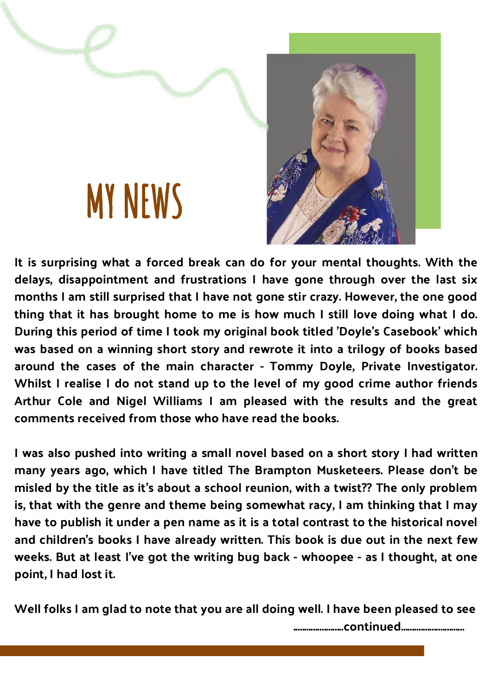## **MY NEWS**



It is surprising what a forced break can do for your mental thoughts. With the delays, disappointment and frustrations I have gone through over the last six months I am still surprised that I have not gone stir crazy. However, the one good thing that it has brought home to me is how much I still love doing what I do. During this period of time I took my original book titled 'Doyle's Casebook' which was based on a winning short story and rewrote it into a trilogy of books based around the cases of the main character - Tommy Doyle, Private Investigator. Whilst I realise I do not stand up to the level of my good crime author friends Arthur Cole and Nigel Williams I am pleased with the results and the great comments received from those who have read the books.

I was also pushed into writing a small novel based on a short story I had written many years ago, which I have titled The Brampton Musketeers. Please don't be misled by the title as it's about a school reunion, with a twist?? The only problem is, that with the genre and theme being somewhat racy, I am thinking that I may have to publish it under a pen name as it is a total contrast to the historical novel and children's books I have already written. This book is due out in the next few weeks. But at least I've got the writing bug back - whoopee - as I thought, at one point, I had lost it.

Well folks I am glad to note that you are all doing well. I have been pleased to see

.......................continued.............................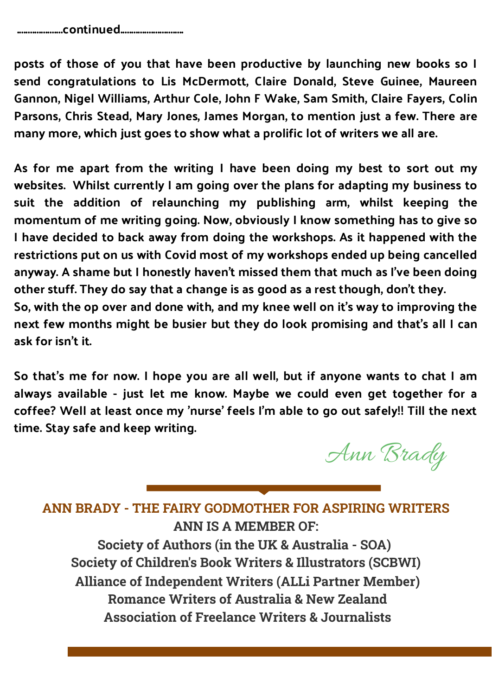posts of those of you that have been productive by launching new books so I send congratulations to Lis McDermott, Claire Donald, Steve Guinee, Maureen Gannon, Nigel Williams, Arthur Cole, John F Wake, Sam Smith, Claire Fayers, Colin Parsons, Chris Stead, Mary Jones, James Morgan, to mention just a few. There are many more, which just goes to show what a prolific lot of writers we all are.

As for me apart from the writing I have been doing my best to sort out my websites. Whilst currently I am going over the plans for adapting my business to suit the addition of relaunching my publishing arm, whilst keeping the momentum of me writing going. Now, obviously I know something has to give so I have decided to back away from doing the workshops. As it happened with the restrictions put on us with Covid most of my workshops ended up being cancelled anyway. A shame but I honestly haven't missed them that much as I've been doing other stuff. They do say that a change is as good as a rest though, don't they. So, with the op over and done with, and my knee well on it's way to improving the next few months might be busier but they do look promising and that's all I can

ask for isn't it.

So that's me for now. I hope you are all well, but if anyone wants to chat I am always available - just let me know. Maybe we could even get together for a coffee? Well at least once my 'nurse' feels I'm able to go out safely!! Till the next time. Stay safe and keep writing.

Ann Brady

**ANN BRADY - THE FAIRY GODMOTHER FOR ASPIRING WRITERS ANN IS A MEMBER OF:**

**Society of Authors (in the UK & Australia - SOA) Society of Children's Book Writers & Illustrators (SCBWI) Alliance of Independent Writers (ALLi Partner Member) Romance Writers of Australia & New Zealand Association of Freelance Writers & Journalists**